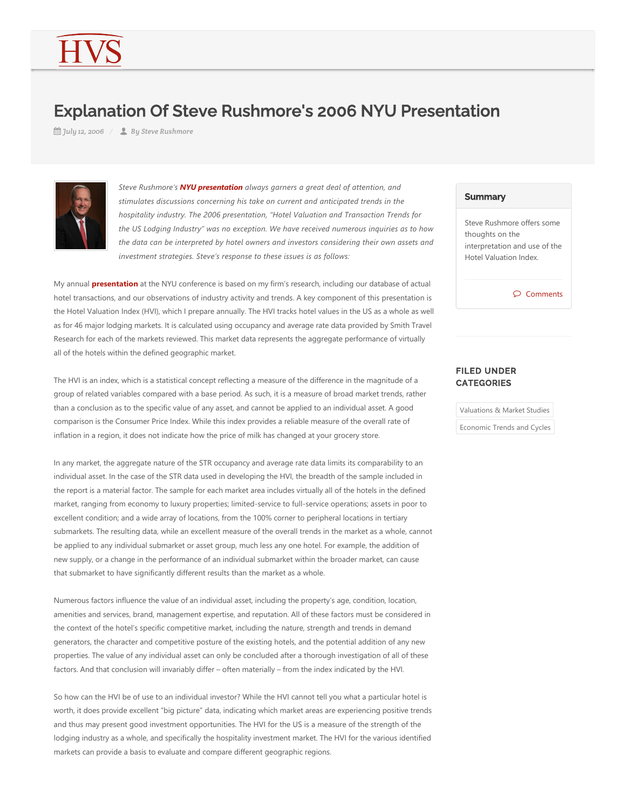## Explanation Of Steve Rushmore's 2006 NYU Presentation

*July 12, 2006 By Steve Rushmore*



*Steve Rushmore's NYU presentation always garners a great deal of attention, and stimulates discussions concerning his take on current and anticipated trends in the hospitality industry. The 2006 presentation, "Hotel Valuation and Transaction Trends for the US Lodging Industry" was no exception. We have received numerous inquiries as to how the data can be interpreted by hotel owners and investors considering their own assets and investment strategies. Steve's response to these issues is as follows:*

My annual **presentation** at the NYU conference is based on my firm's research, including our database of actual hotel transactions, and our observations of industry activity and trends. A key component of this presentation is the Hotel Valuation Index (HVI), which I prepare annually. The HVI tracks hotel values in the US as a whole as well as for 46 major lodging markets. It is calculated using occupancy and average rate data provided by Smith Travel Research for each of the markets reviewed. This market data represents the aggregate performance of virtually all of the hotels within the defined geographic market.

The HVI is an index, which is a statistical concept reflecting a measure of the difference in the magnitude of a group of related variables compared with a base period. As such, it is a measure of broad market trends, rather than a conclusion as to the specific value of any asset, and cannot be applied to an individual asset. A good comparison is the Consumer Price Index. While this index provides a reliable measure of the overall rate of inflation in a region, it does not indicate how the price of milk has changed at your grocery store.

In any market, the aggregate nature of the STR occupancy and average rate data limits its comparability to an individual asset. In the case of the STR data used in developing the HVI, the breadth of the sample included in the report is a material factor. The sample for each market area includes virtually all of the hotels in the defined market, ranging from economy to luxury properties; limited-service to full-service operations; assets in poor to excellent condition; and a wide array of locations, from the 100% corner to peripheral locations in tertiary submarkets. The resulting data, while an excellent measure of the overall trends in the market as a whole, cannot be applied to any individual submarket or asset group, much less any one hotel. For example, the addition of new supply, or a change in the performance of an individual submarket within the broader market, can cause that submarket to have significantly different results than the market as a whole.

Numerous factors influence the value of an individual asset, including the property's age, condition, location, amenities and services, brand, management expertise, and reputation. All of these factors must be considered in the context of the hotel's specific competitive market, including the nature, strength and trends in demand generators, the character and competitive posture of the existing hotels, and the potential addition of any new properties. The value of any individual asset can only be concluded after a thorough investigation of all of these factors. And that conclusion will invariably differ – often materially – from the index indicated by the HVI.

So how can the HVI be of use to an individual investor? While the HVI cannot tell you what a particular hotel is worth, it does provide excellent "big picture" data, indicating which market areas are experiencing positive trends and thus may present good investment opportunities. The HVI for the US is a measure of the strength of the lodging industry as a whole, and specifically the hospitality investment market. The HVI for the various identified markets can provide a basis to evaluate and compare different geographic regions.

## **Summary**

Steve Rushmore offers some thoughts on the interpretation and use of the Hotel Valuation Index.

Comments

## FILED UNDER **CATEGORIES**

Valuations & Market Studies

Economic Trends and Cycles